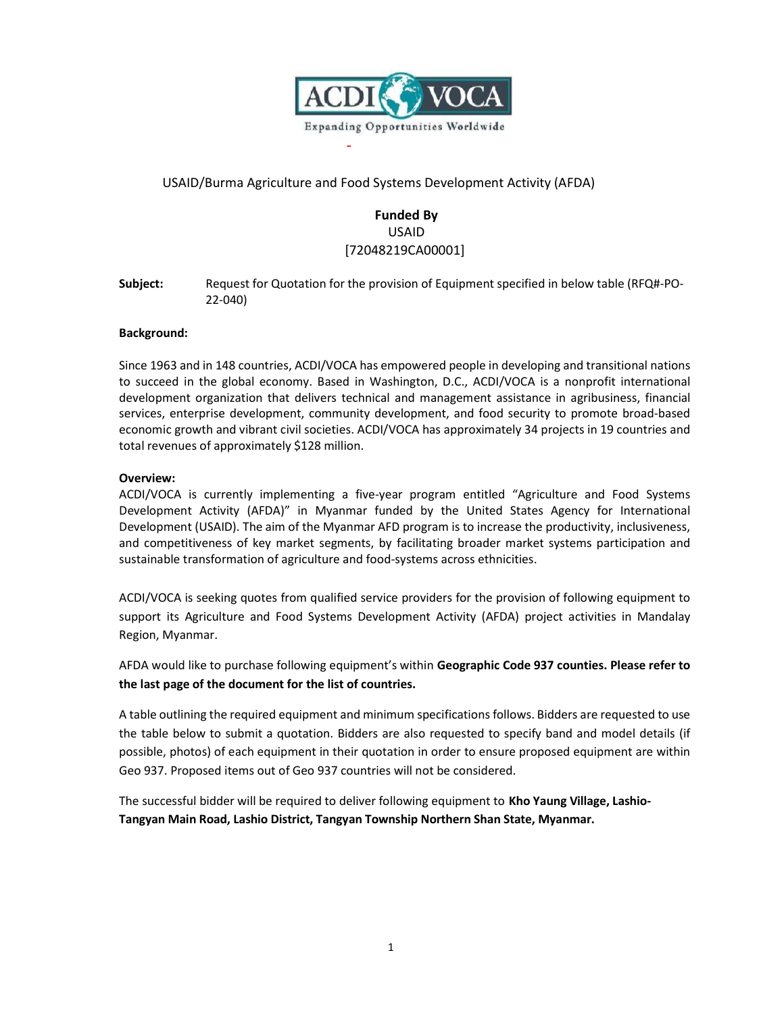

# USAID/Burma Agriculture and Food Systems Development Activity (AFDA)

-

# **Funded By** USAID [72048219CA00001]

**Subject:** Request for Quotation for the provision of Equipment specified in below table (RFQ#-PO-22-040)

# **Background:**

Since 1963 and in 148 countries, ACDI/VOCA has empowered people in developing and transitional nations to succeed in the global economy. Based in Washington, D.C., ACDI/VOCA is a nonprofit international development organization that delivers technical and management assistance in agribusiness, financial services, enterprise development, community development, and food security to promote broad-based economic growth and vibrant civil societies. ACDI/VOCA has approximately 34 projects in 19 countries and total revenues of approximately \$128 million.

# **Overview:**

ACDI/VOCA is currently implementing a five-year program entitled "Agriculture and Food Systems Development Activity (AFDA)" in Myanmar funded by the United States Agency for International Development (USAID). The aim of the Myanmar AFD program is to increase the productivity, inclusiveness, and competitiveness of key market segments, by facilitating broader market systems participation and sustainable transformation of agriculture and food-systems across ethnicities.

ACDI/VOCA is seeking quotes from qualified service providers for the provision of following equipment to support its Agriculture and Food Systems Development Activity (AFDA) project activities in Mandalay Region, Myanmar.

AFDA would like to purchase following equipment's within **Geographic Code 937 counties. Please refer to the last page of the document for the list of countries.**

A table outlining the required equipment and minimum specifications follows. Bidders are requested to use the table below to submit a quotation. Bidders are also requested to specify band and model details (if possible, photos) of each equipment in their quotation in order to ensure proposed equipment are within Geo 937. Proposed items out of Geo 937 countries will not be considered.

The successful bidder will be required to deliver following equipment to **Kho Yaung Village, Lashio-Tangyan Main Road, Lashio District, Tangyan Township Northern Shan State, Myanmar.**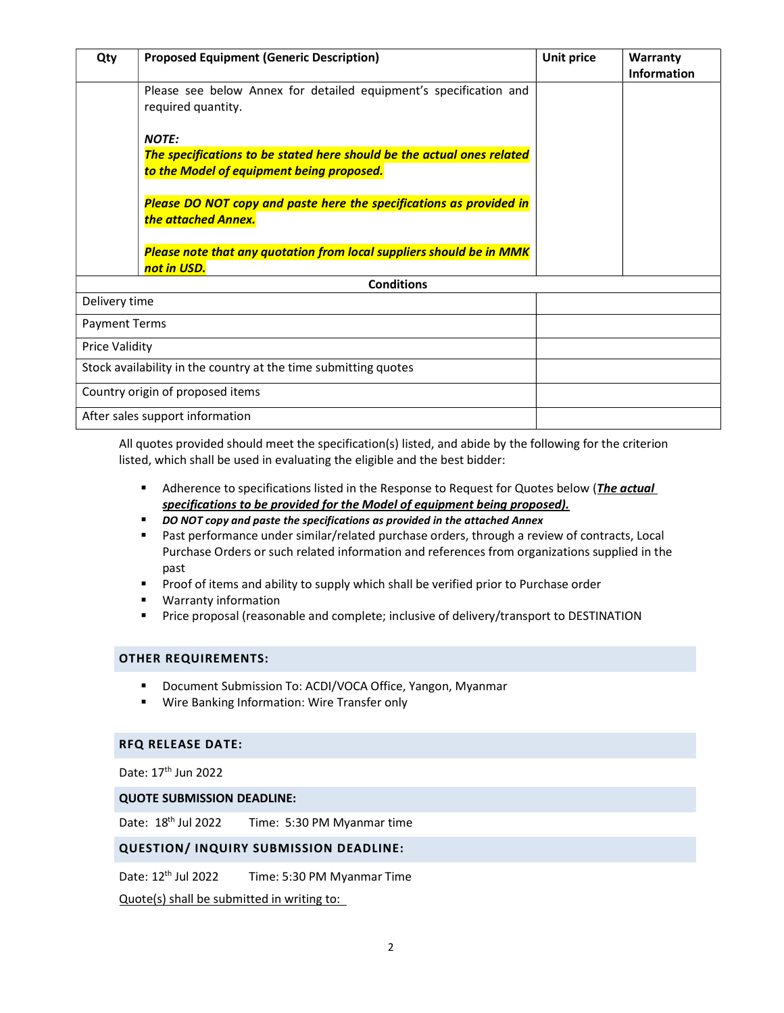| Qty                   | <b>Proposed Equipment (Generic Description)</b>                                                                     | <b>Unit price</b> | Warranty<br><b>Information</b> |
|-----------------------|---------------------------------------------------------------------------------------------------------------------|-------------------|--------------------------------|
|                       | Please see below Annex for detailed equipment's specification and<br>required quantity.                             |                   |                                |
|                       | <b>NOTE:</b>                                                                                                        |                   |                                |
|                       | The specifications to be stated here should be the actual ones related<br>to the Model of equipment being proposed. |                   |                                |
|                       | Please DO NOT copy and paste here the specifications as provided in<br>the attached Annex.                          |                   |                                |
|                       | Please note that any quotation from local suppliers should be in MMK<br>not in USD.                                 |                   |                                |
| <b>Conditions</b>     |                                                                                                                     |                   |                                |
| Delivery time         |                                                                                                                     |                   |                                |
| <b>Payment Terms</b>  |                                                                                                                     |                   |                                |
| <b>Price Validity</b> |                                                                                                                     |                   |                                |
|                       | Stock availability in the country at the time submitting quotes                                                     |                   |                                |
|                       | Country origin of proposed items                                                                                    |                   |                                |
|                       | After sales support information                                                                                     |                   |                                |

All quotes provided should meet the specification(s) listed, and abide by the following for the criterion listed, which shall be used in evaluating the eligible and the best bidder:

- Adherence to specifications listed in the Response to Request for Quotes below (*The actual specifications to be provided for the Model of equipment being proposed).*
- *DO NOT copy and paste the specifications as provided in the attached Annex*
- Past performance under similar/related purchase orders, through a review of contracts, Local Purchase Orders or such related information and references from organizations supplied in the past
- **Proof of items and ability to supply which shall be verified prior to Purchase order**
- Warranty information
- **Price proposal (reasonable and complete; inclusive of delivery/transport to DESTINATION**

#### **OTHER REQUIREMENTS:**

- Document Submission To: ACDI/VOCA Office, Yangon, Myanmar
- **Wire Banking Information: Wire Transfer only**

# **RFQ RELEASE DATE:**

Date: 17<sup>th</sup> Jun 2022

#### **QUOTE SUBMISSION DEADLINE:**

Date: 18<sup>th</sup> Time: 5:30 PM Myanmar time

#### **QUESTION/ INQUIRY SUBMISSION DEADLINE:**

Date: 12<sup>th</sup> Time: 5:30 PM Myanmar Time

Quote(s) shall be submitted in writing to: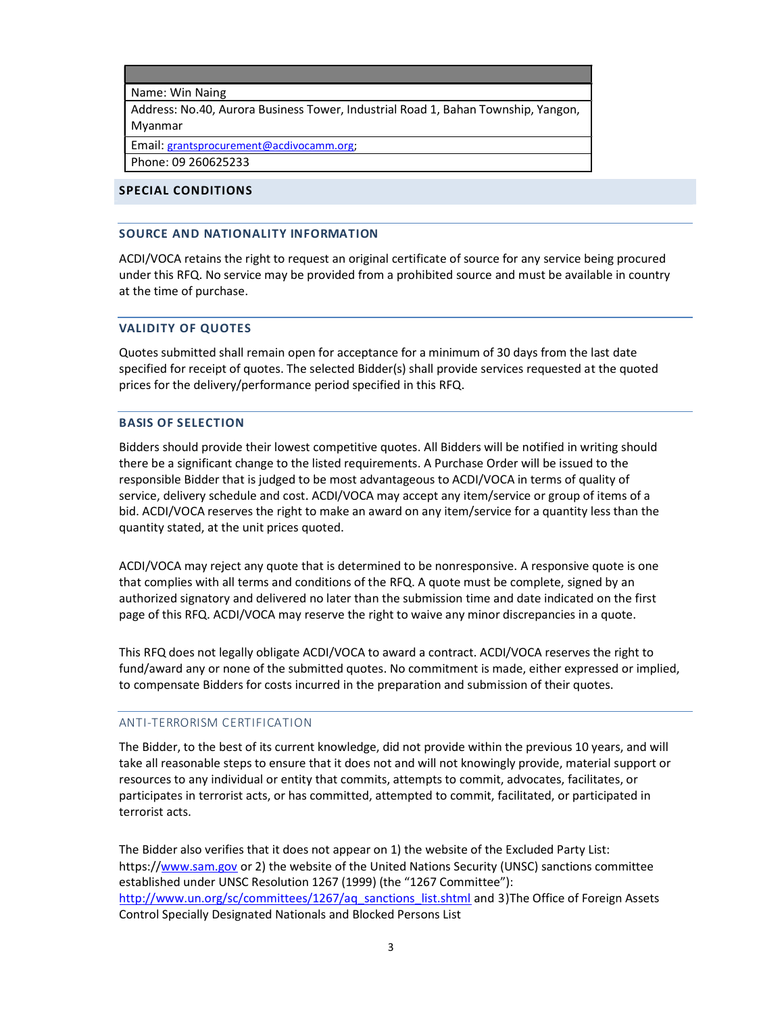Name: Win Naing

Address: No.40, Aurora Business Tower, Industrial Road 1, Bahan Township, Yangon, Myanmar

Email: grantsprocurement@acdivocamm.org;

Phone: 09 260625233

# **SPECIAL CONDITIONS**

#### **SOURCE AND NATIONALITY INFORMATION**

ACDI/VOCA retains the right to request an original certificate of source for any service being procured under this RFQ. No service may be provided from a prohibited source and must be available in country at the time of purchase.

## **VALIDITY OF QUOTES**

Quotes submitted shall remain open for acceptance for a minimum of 30 days from the last date specified for receipt of quotes. The selected Bidder(s) shall provide services requested at the quoted prices for the delivery/performance period specified in this RFQ.

## **BASIS OF SELECTION**

Bidders should provide their lowest competitive quotes. All Bidders will be notified in writing should there be a significant change to the listed requirements. A Purchase Order will be issued to the responsible Bidder that is judged to be most advantageous to ACDI/VOCA in terms of quality of service, delivery schedule and cost. ACDI/VOCA may accept any item/service or group of items of a bid. ACDI/VOCA reserves the right to make an award on any item/service for a quantity less than the quantity stated, at the unit prices quoted.

ACDI/VOCA may reject any quote that is determined to be nonresponsive. A responsive quote is one that complies with all terms and conditions of the RFQ. A quote must be complete, signed by an authorized signatory and delivered no later than the submission time and date indicated on the first page of this RFQ. ACDI/VOCA may reserve the right to waive any minor discrepancies in a quote.

This RFQ does not legally obligate ACDI/VOCA to award a contract. ACDI/VOCA reserves the right to fund/award any or none of the submitted quotes. No commitment is made, either expressed or implied, to compensate Bidders for costs incurred in the preparation and submission of their quotes.

#### ANTI-TERRORISM CERTIFICATION

The Bidder, to the best of its current knowledge, did not provide within the previous 10 years, and will take all reasonable steps to ensure that it does not and will not knowingly provide, material support or resources to any individual or entity that commits, attempts to commit, advocates, facilitates, or participates in terrorist acts, or has committed, attempted to commit, facilitated, or participated in terrorist acts.

The Bidder also verifies that it does not appear on 1) the website of the Excluded Party List: https://www.sam.gov or 2) the website of the United Nations Security (UNSC) sanctions committee established under UNSC Resolution 1267 (1999) (the "1267 Committee"): http://www.un.org/sc/committees/1267/aq\_sanctions\_list.shtml and 3)The Office of Foreign Assets Control Specially Designated Nationals and Blocked Persons List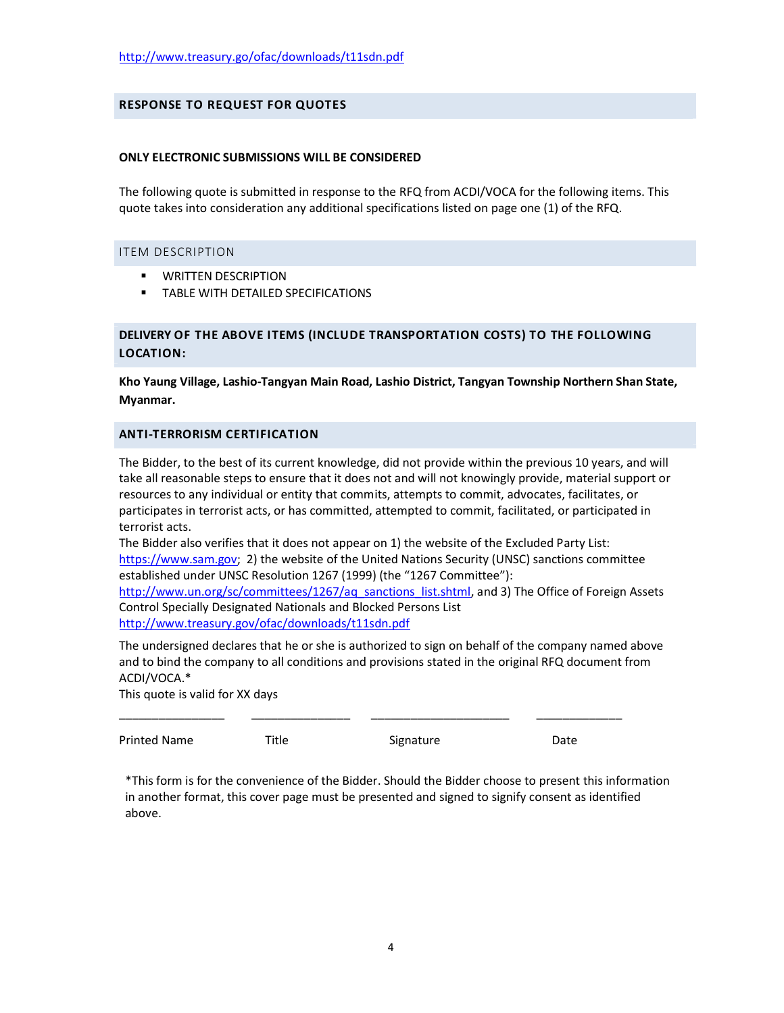# **RESPONSE TO REQUEST FOR QUOTES**

#### **ONLY ELECTRONIC SUBMISSIONS WILL BE CONSIDERED**

The following quote is submitted in response to the RFQ from ACDI/VOCA for the following items. This quote takes into consideration any additional specifications listed on page one (1) of the RFQ.

#### ITEM DESCRIPTION

- **WRITTEN DESCRIPTION**
- **TABLE WITH DETAILED SPECIFICATIONS**

# **DELIVERY OF THE ABOVE ITEMS (INCLUDE TRANSPORTATION COSTS) TO THE FOLLOWING LOCATION:**

**Kho Yaung Village, Lashio-Tangyan Main Road, Lashio District, Tangyan Township Northern Shan State, Myanmar.**

#### **ANTI-TERRORISM CERTIFICATION**

The Bidder, to the best of its current knowledge, did not provide within the previous 10 years, and will take all reasonable steps to ensure that it does not and will not knowingly provide, material support or resources to any individual or entity that commits, attempts to commit, advocates, facilitates, or participates in terrorist acts, or has committed, attempted to commit, facilitated, or participated in terrorist acts.

The Bidder also verifies that it does not appear on 1) the website of the Excluded Party List: https://www.sam.gov; 2) the website of the United Nations Security (UNSC) sanctions committee established under UNSC Resolution 1267 (1999) (the "1267 Committee"):

http://www.un.org/sc/committees/1267/aq\_sanctions\_list.shtml, and 3) The Office of Foreign Assets Control Specially Designated Nationals and Blocked Persons List http://www.treasury.gov/ofac/downloads/t11sdn.pdf

The undersigned declares that he or she is authorized to sign on behalf of the company named above and to bind the company to all conditions and provisions stated in the original RFQ document from ACDI/VOCA.\*

\_\_\_\_\_\_\_\_\_\_\_\_\_\_\_\_ \_\_\_\_\_\_\_\_\_\_\_\_\_\_\_ \_\_\_\_\_\_\_\_\_\_\_\_\_\_\_\_\_\_\_\_\_ \_\_\_\_\_\_\_\_\_\_\_\_\_

This quote is valid for XX days

Printed Name Title Signature Signature Date

\*This form is for the convenience of the Bidder. Should the Bidder choose to present this information in another format, this cover page must be presented and signed to signify consent as identified above.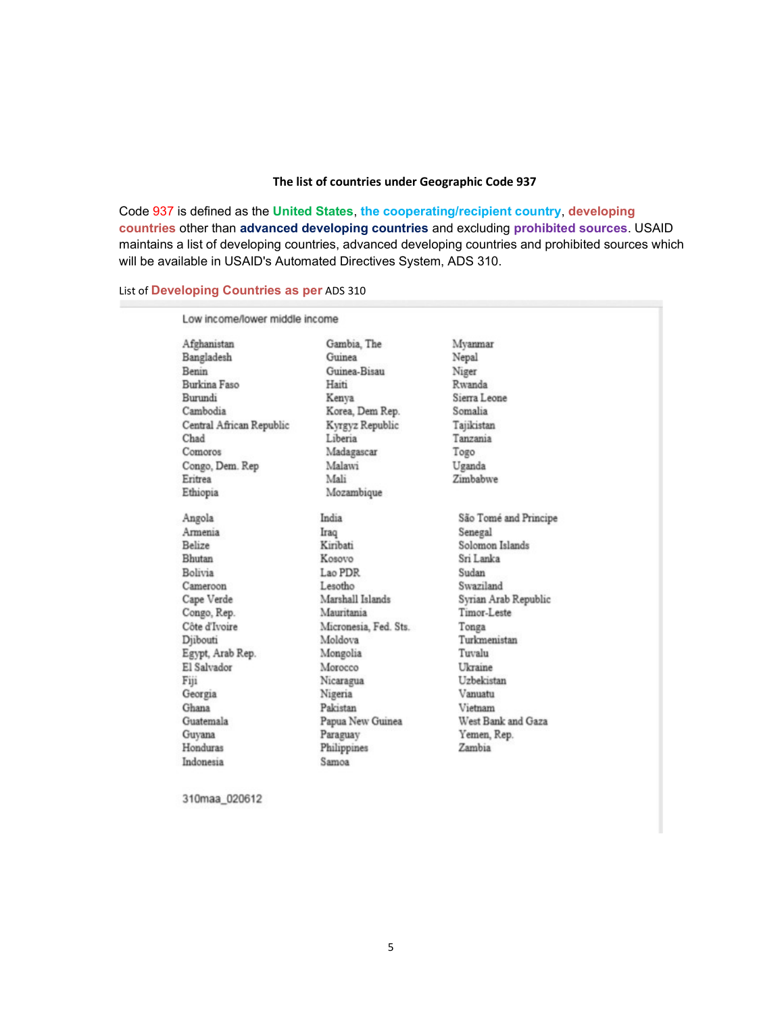## **The list of countries under Geographic Code 937**

Code 937 is defined as the **United States**, **the cooperating/recipient country**, **developing countries** other than **advanced developing countries** and excluding **prohibited sources**. USAID maintains a list of developing countries, advanced developing countries and prohibited sources which will be available in USAID's Automated Directives System, ADS 310.

# List of **Developing Countries as per** ADS 310

| Afghanistan              | Gambia, The           | Mvanmar               |
|--------------------------|-----------------------|-----------------------|
| Bangladesh               | Guinea                | Nepal                 |
| Benin                    | Guinea-Bisau          | Niger                 |
| Burkina Faso             | Haiti                 | Rwanda                |
| Burundi                  | Kenya                 | Sierra Leone          |
| Cambodia                 | Korea, Dem Rep.       | Somalia               |
| Central African Republic | Kyrgyz Republic       | Tajikistan            |
| Chad                     | Liberia               | Tanzania              |
| Comoros                  | Madagascar            | Togo                  |
| Congo, Dem. Rep          | Malawi                | Uganda                |
| Eritrea                  | Mali                  | Zimbabwe              |
| Ethiopia                 | Mozambique            |                       |
| Angola                   | India                 | São Tomé and Principe |
| Armenia                  | Iraq                  | Senegal               |
| Belize                   | Kirihati              | Solomon Islands       |
| Bhutan                   | Kosovo                | Sri Lanka             |
| Bolivia                  | Lao PDR               | Sudan                 |
| Cameroon                 | Lesotho               | Swaziland             |
| Cape Verde               | Marshall Islands      | Syrian Arab Republic  |
| Congo, Rep.              | Mauritania            | Timor-Leste           |
| Côte d'Ivoire            | Micronesia, Fed. Sts. | Tonga                 |
| Diibouti                 | Moldova               | Turkmenistan          |
| Egypt, Arab Rep.         | Mongolia              | Tuvalu                |
| El Salvador              | Morocco               | Ukraine               |
| Fiji                     | Nicaragua             | Uzbekistan            |
| Georgia                  | Nigeria               | Vanuatu               |
| Ghana                    | Pakistan              | Vietnam               |
| Guatemala                | Papua New Guinea      | West Bank and Gaza    |
| Guyana                   | Paraguay              | Yemen, Rep.           |
| Honduras                 | Philippines           | Zambia                |
| Indonesia                | Samoa                 |                       |

310maa\_020612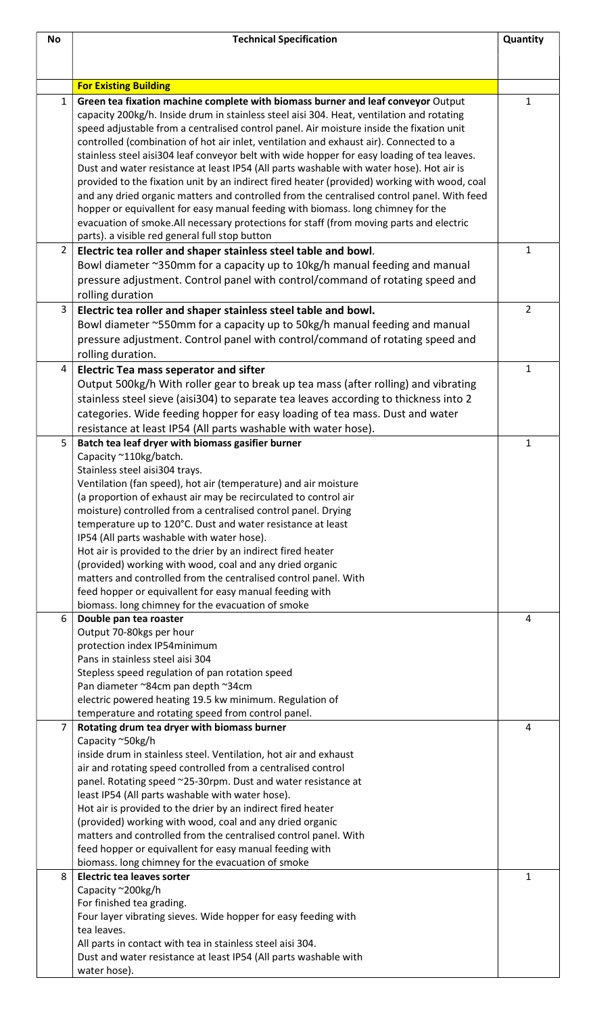| <b>No</b>      | <b>Technical Specification</b>                                                                                                                                                                                                                                                                                                                                                                                                                                                                                                                                                                                                                                                                                                                               |                |
|----------------|--------------------------------------------------------------------------------------------------------------------------------------------------------------------------------------------------------------------------------------------------------------------------------------------------------------------------------------------------------------------------------------------------------------------------------------------------------------------------------------------------------------------------------------------------------------------------------------------------------------------------------------------------------------------------------------------------------------------------------------------------------------|----------------|
|                |                                                                                                                                                                                                                                                                                                                                                                                                                                                                                                                                                                                                                                                                                                                                                              |                |
|                | <b>For Existing Building</b>                                                                                                                                                                                                                                                                                                                                                                                                                                                                                                                                                                                                                                                                                                                                 |                |
| $\mathbf{1}$   | Green tea fixation machine complete with biomass burner and leaf conveyor Output<br>capacity 200kg/h. Inside drum in stainless steel aisi 304. Heat, ventilation and rotating<br>speed adjustable from a centralised control panel. Air moisture inside the fixation unit<br>controlled (combination of hot air inlet, ventilation and exhaust air). Connected to a<br>stainless steel aisi304 leaf conveyor belt with wide hopper for easy loading of tea leaves.<br>Dust and water resistance at least IP54 (All parts washable with water hose). Hot air is<br>provided to the fixation unit by an indirect fired heater (provided) working with wood, coal<br>and any dried organic matters and controlled from the centralised control panel. With feed | 1              |
|                | hopper or equivallent for easy manual feeding with biomass. long chimney for the<br>evacuation of smoke. All necessary protections for staff (from moving parts and electric<br>parts). a visible red general full stop button                                                                                                                                                                                                                                                                                                                                                                                                                                                                                                                               |                |
| $\overline{2}$ | Electric tea roller and shaper stainless steel table and bowl.                                                                                                                                                                                                                                                                                                                                                                                                                                                                                                                                                                                                                                                                                               | 1              |
|                | Bowl diameter ~350mm for a capacity up to 10kg/h manual feeding and manual<br>pressure adjustment. Control panel with control/command of rotating speed and<br>rolling duration                                                                                                                                                                                                                                                                                                                                                                                                                                                                                                                                                                              |                |
| 3              | Electric tea roller and shaper stainless steel table and bowl.                                                                                                                                                                                                                                                                                                                                                                                                                                                                                                                                                                                                                                                                                               | $\overline{2}$ |
|                | Bowl diameter ~550mm for a capacity up to 50kg/h manual feeding and manual<br>pressure adjustment. Control panel with control/command of rotating speed and<br>rolling duration.                                                                                                                                                                                                                                                                                                                                                                                                                                                                                                                                                                             |                |
| 4              | <b>Electric Tea mass seperator and sifter</b>                                                                                                                                                                                                                                                                                                                                                                                                                                                                                                                                                                                                                                                                                                                | 1              |
|                | Output 500kg/h With roller gear to break up tea mass (after rolling) and vibrating                                                                                                                                                                                                                                                                                                                                                                                                                                                                                                                                                                                                                                                                           |                |
|                | stainless steel sieve (aisi304) to separate tea leaves according to thickness into 2                                                                                                                                                                                                                                                                                                                                                                                                                                                                                                                                                                                                                                                                         |                |
|                | categories. Wide feeding hopper for easy loading of tea mass. Dust and water<br>resistance at least IP54 (All parts washable with water hose).                                                                                                                                                                                                                                                                                                                                                                                                                                                                                                                                                                                                               |                |
| 5              | Batch tea leaf dryer with biomass gasifier burner                                                                                                                                                                                                                                                                                                                                                                                                                                                                                                                                                                                                                                                                                                            | 1              |
|                | Capacity ~110kg/batch.                                                                                                                                                                                                                                                                                                                                                                                                                                                                                                                                                                                                                                                                                                                                       |                |
|                | Stainless steel aisi304 trays.                                                                                                                                                                                                                                                                                                                                                                                                                                                                                                                                                                                                                                                                                                                               |                |
|                | Ventilation (fan speed), hot air (temperature) and air moisture<br>(a proportion of exhaust air may be recirculated to control air                                                                                                                                                                                                                                                                                                                                                                                                                                                                                                                                                                                                                           |                |
|                | moisture) controlled from a centralised control panel. Drying                                                                                                                                                                                                                                                                                                                                                                                                                                                                                                                                                                                                                                                                                                |                |
|                | temperature up to 120°C. Dust and water resistance at least                                                                                                                                                                                                                                                                                                                                                                                                                                                                                                                                                                                                                                                                                                  |                |
|                | IP54 (All parts washable with water hose).                                                                                                                                                                                                                                                                                                                                                                                                                                                                                                                                                                                                                                                                                                                   |                |
|                | Hot air is provided to the drier by an indirect fired heater<br>(provided) working with wood, coal and any dried organic                                                                                                                                                                                                                                                                                                                                                                                                                                                                                                                                                                                                                                     |                |
|                | matters and controlled from the centralised control panel. With                                                                                                                                                                                                                                                                                                                                                                                                                                                                                                                                                                                                                                                                                              |                |
|                | feed hopper or equivallent for easy manual feeding with                                                                                                                                                                                                                                                                                                                                                                                                                                                                                                                                                                                                                                                                                                      |                |
|                | biomass. long chimney for the evacuation of smoke                                                                                                                                                                                                                                                                                                                                                                                                                                                                                                                                                                                                                                                                                                            |                |
| 6              | Double pan tea roaster<br>Output 70-80kgs per hour                                                                                                                                                                                                                                                                                                                                                                                                                                                                                                                                                                                                                                                                                                           | 4              |
|                | protection index IP54minimum                                                                                                                                                                                                                                                                                                                                                                                                                                                                                                                                                                                                                                                                                                                                 |                |
|                | Pans in stainless steel aisi 304                                                                                                                                                                                                                                                                                                                                                                                                                                                                                                                                                                                                                                                                                                                             |                |
|                | Stepless speed regulation of pan rotation speed                                                                                                                                                                                                                                                                                                                                                                                                                                                                                                                                                                                                                                                                                                              |                |
|                | Pan diameter ~84cm pan depth ~34cm<br>electric powered heating 19.5 kw minimum. Regulation of                                                                                                                                                                                                                                                                                                                                                                                                                                                                                                                                                                                                                                                                |                |
|                | temperature and rotating speed from control panel.                                                                                                                                                                                                                                                                                                                                                                                                                                                                                                                                                                                                                                                                                                           |                |
| 7              | Rotating drum tea dryer with biomass burner                                                                                                                                                                                                                                                                                                                                                                                                                                                                                                                                                                                                                                                                                                                  | 4              |
|                | Capacity ~50kg/h                                                                                                                                                                                                                                                                                                                                                                                                                                                                                                                                                                                                                                                                                                                                             |                |
|                | inside drum in stainless steel. Ventilation, hot air and exhaust<br>air and rotating speed controlled from a centralised control                                                                                                                                                                                                                                                                                                                                                                                                                                                                                                                                                                                                                             |                |
|                | panel. Rotating speed ~25-30rpm. Dust and water resistance at                                                                                                                                                                                                                                                                                                                                                                                                                                                                                                                                                                                                                                                                                                |                |
|                | least IP54 (All parts washable with water hose).                                                                                                                                                                                                                                                                                                                                                                                                                                                                                                                                                                                                                                                                                                             |                |
|                | Hot air is provided to the drier by an indirect fired heater                                                                                                                                                                                                                                                                                                                                                                                                                                                                                                                                                                                                                                                                                                 |                |
|                | (provided) working with wood, coal and any dried organic<br>matters and controlled from the centralised control panel. With                                                                                                                                                                                                                                                                                                                                                                                                                                                                                                                                                                                                                                  |                |
|                | feed hopper or equivallent for easy manual feeding with                                                                                                                                                                                                                                                                                                                                                                                                                                                                                                                                                                                                                                                                                                      |                |
|                | biomass. long chimney for the evacuation of smoke                                                                                                                                                                                                                                                                                                                                                                                                                                                                                                                                                                                                                                                                                                            |                |
| 8              | <b>Electric tea leaves sorter</b><br>Capacity ~200kg/h                                                                                                                                                                                                                                                                                                                                                                                                                                                                                                                                                                                                                                                                                                       | 1              |
|                | For finished tea grading.                                                                                                                                                                                                                                                                                                                                                                                                                                                                                                                                                                                                                                                                                                                                    |                |
|                | Four layer vibrating sieves. Wide hopper for easy feeding with                                                                                                                                                                                                                                                                                                                                                                                                                                                                                                                                                                                                                                                                                               |                |
|                | tea leaves                                                                                                                                                                                                                                                                                                                                                                                                                                                                                                                                                                                                                                                                                                                                                   |                |
|                | All parts in contact with tea in stainless steel aisi 304.<br>Dust and water resistance at least IP54 (All parts washable with                                                                                                                                                                                                                                                                                                                                                                                                                                                                                                                                                                                                                               |                |
|                | water hose).                                                                                                                                                                                                                                                                                                                                                                                                                                                                                                                                                                                                                                                                                                                                                 |                |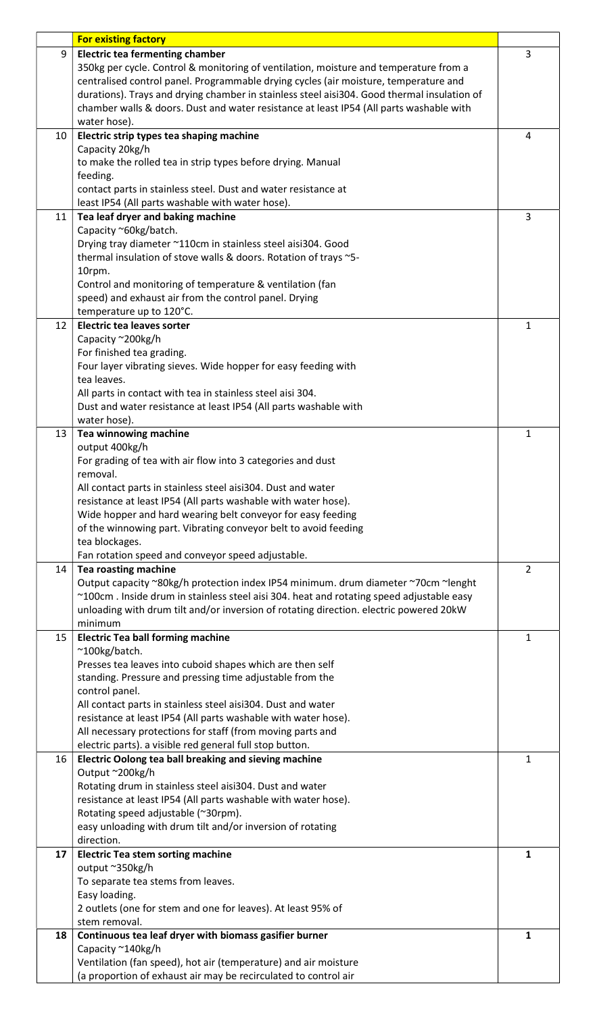|    | <b>For existing factory</b>                                                                 |                |
|----|---------------------------------------------------------------------------------------------|----------------|
| 9  | <b>Electric tea fermenting chamber</b>                                                      | 3              |
|    | 350kg per cycle. Control & monitoring of ventilation, moisture and temperature from a       |                |
|    | centralised control panel. Programmable drying cycles (air moisture, temperature and        |                |
|    | durations). Trays and drying chamber in stainless steel aisi304. Good thermal insulation of |                |
|    | chamber walls & doors. Dust and water resistance at least IP54 (All parts washable with     |                |
|    | water hose).                                                                                |                |
| 10 | Electric strip types tea shaping machine                                                    | 4              |
|    | Capacity 20kg/h                                                                             |                |
|    | to make the rolled tea in strip types before drying. Manual                                 |                |
|    | feeding.                                                                                    |                |
|    | contact parts in stainless steel. Dust and water resistance at                              |                |
|    | least IP54 (All parts washable with water hose).                                            |                |
| 11 | Tea leaf dryer and baking machine                                                           | 3              |
|    | Capacity ~60kg/batch.                                                                       |                |
|    |                                                                                             |                |
|    | Drying tray diameter ~110cm in stainless steel aisi304. Good                                |                |
|    | thermal insulation of stove walls & doors. Rotation of trays ~5-                            |                |
|    | 10rpm.                                                                                      |                |
|    | Control and monitoring of temperature & ventilation (fan                                    |                |
|    | speed) and exhaust air from the control panel. Drying                                       |                |
|    | temperature up to 120°C.                                                                    |                |
| 12 | <b>Electric tea leaves sorter</b>                                                           | 1              |
|    | Capacity ~200kg/h                                                                           |                |
|    | For finished tea grading.                                                                   |                |
|    | Four layer vibrating sieves. Wide hopper for easy feeding with                              |                |
|    | tea leaves.                                                                                 |                |
|    | All parts in contact with tea in stainless steel aisi 304.                                  |                |
|    | Dust and water resistance at least IP54 (All parts washable with                            |                |
|    | water hose).                                                                                |                |
| 13 | Tea winnowing machine                                                                       | $\mathbf{1}$   |
|    | output 400kg/h                                                                              |                |
|    | For grading of tea with air flow into 3 categories and dust                                 |                |
|    | removal.                                                                                    |                |
|    | All contact parts in stainless steel aisi304. Dust and water                                |                |
|    | resistance at least IP54 (All parts washable with water hose).                              |                |
|    | Wide hopper and hard wearing belt conveyor for easy feeding                                 |                |
|    | of the winnowing part. Vibrating conveyor belt to avoid feeding                             |                |
|    | tea blockages.                                                                              |                |
|    | Fan rotation speed and conveyor speed adjustable.                                           |                |
| 14 | <b>Tea roasting machine</b>                                                                 | $\overline{2}$ |
|    | Output capacity ~80kg/h protection index IP54 minimum. drum diameter ~70cm ~lenght          |                |
|    | ~100cm. Inside drum in stainless steel aisi 304. heat and rotating speed adjustable easy    |                |
|    | unloading with drum tilt and/or inversion of rotating direction. electric powered 20kW      |                |
|    | minimum                                                                                     |                |
| 15 | <b>Electric Tea ball forming machine</b>                                                    | $\mathbf{1}$   |
|    | ~100kg/batch.                                                                               |                |
|    | Presses tea leaves into cuboid shapes which are then self                                   |                |
|    | standing. Pressure and pressing time adjustable from the                                    |                |
|    | control panel.                                                                              |                |
|    | All contact parts in stainless steel aisi304. Dust and water                                |                |
|    | resistance at least IP54 (All parts washable with water hose).                              |                |
|    | All necessary protections for staff (from moving parts and                                  |                |
|    | electric parts). a visible red general full stop button.                                    |                |
| 16 | Electric Oolong tea ball breaking and sieving machine                                       | 1              |
|    | Output ~200kg/h                                                                             |                |
|    | Rotating drum in stainless steel aisi304. Dust and water                                    |                |
|    | resistance at least IP54 (All parts washable with water hose).                              |                |
|    | Rotating speed adjustable (~30rpm).                                                         |                |
|    | easy unloading with drum tilt and/or inversion of rotating                                  |                |
|    | direction.                                                                                  |                |
| 17 | <b>Electric Tea stem sorting machine</b>                                                    | $\mathbf{1}$   |
|    | output ~350kg/h                                                                             |                |
|    | To separate tea stems from leaves.                                                          |                |
|    | Easy loading.                                                                               |                |
|    |                                                                                             |                |
|    | 2 outlets (one for stem and one for leaves). At least 95% of                                |                |
|    | stem removal.                                                                               |                |
| 18 | Continuous tea leaf dryer with biomass gasifier burner                                      | 1              |
|    | Capacity ~140kg/h                                                                           |                |
|    | Ventilation (fan speed), hot air (temperature) and air moisture                             |                |
|    | (a proportion of exhaust air may be recirculated to control air                             |                |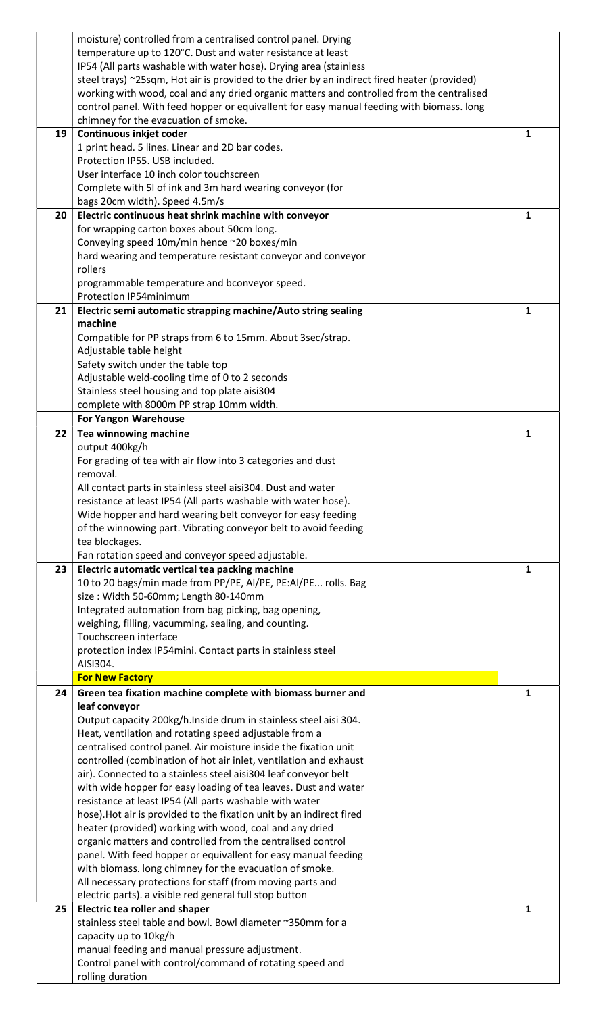|    | moisture) controlled from a centralised control panel. Drying                                |              |
|----|----------------------------------------------------------------------------------------------|--------------|
|    | temperature up to 120°C. Dust and water resistance at least                                  |              |
|    |                                                                                              |              |
|    | IP54 (All parts washable with water hose). Drying area (stainless                            |              |
|    | steel trays) ~25sqm, Hot air is provided to the drier by an indirect fired heater (provided) |              |
|    | working with wood, coal and any dried organic matters and controlled from the centralised    |              |
|    | control panel. With feed hopper or equivallent for easy manual feeding with biomass. long    |              |
|    | chimney for the evacuation of smoke.                                                         |              |
| 19 | Continuous inkjet coder                                                                      | $\mathbf{1}$ |
|    | 1 print head. 5 lines. Linear and 2D bar codes.                                              |              |
|    | Protection IP55, USB included.                                                               |              |
|    | User interface 10 inch color touchscreen                                                     |              |
|    | Complete with 5I of ink and 3m hard wearing conveyor (for                                    |              |
|    |                                                                                              |              |
|    | bags 20cm width). Speed 4.5m/s                                                               |              |
| 20 | Electric continuous heat shrink machine with conveyor                                        | 1            |
|    | for wrapping carton boxes about 50cm long.                                                   |              |
|    | Conveying speed 10m/min hence ~20 boxes/min                                                  |              |
|    | hard wearing and temperature resistant conveyor and conveyor                                 |              |
|    | rollers                                                                                      |              |
|    | programmable temperature and bconveyor speed.                                                |              |
|    | Protection IP54minimum                                                                       |              |
| 21 | Electric semi automatic strapping machine/Auto string sealing                                | 1            |
|    | machine                                                                                      |              |
|    |                                                                                              |              |
|    | Compatible for PP straps from 6 to 15mm. About 3sec/strap.                                   |              |
|    | Adjustable table height                                                                      |              |
|    | Safety switch under the table top                                                            |              |
|    | Adjustable weld-cooling time of 0 to 2 seconds                                               |              |
|    | Stainless steel housing and top plate aisi304                                                |              |
|    | complete with 8000m PP strap 10mm width.                                                     |              |
|    | <b>For Yangon Warehouse</b>                                                                  |              |
| 22 | Tea winnowing machine                                                                        | $\mathbf{1}$ |
|    | output 400kg/h                                                                               |              |
|    |                                                                                              |              |
|    | For grading of tea with air flow into 3 categories and dust                                  |              |
|    | removal.                                                                                     |              |
|    | All contact parts in stainless steel aisi304. Dust and water                                 |              |
|    | resistance at least IP54 (All parts washable with water hose).                               |              |
|    |                                                                                              |              |
|    | Wide hopper and hard wearing belt conveyor for easy feeding                                  |              |
|    | of the winnowing part. Vibrating conveyor belt to avoid feeding                              |              |
|    |                                                                                              |              |
|    | tea blockages.                                                                               |              |
|    | Fan rotation speed and conveyor speed adjustable.                                            |              |
| 23 | Electric automatic vertical tea packing machine                                              | $\mathbf{1}$ |
|    | 10 to 20 bags/min made from PP/PE, AI/PE, PE:AI/PE rolls. Bag                                |              |
|    | size: Width 50-60mm; Length 80-140mm                                                         |              |
|    | Integrated automation from bag picking, bag opening,                                         |              |
|    | weighing, filling, vacumming, sealing, and counting.                                         |              |
|    | Touchscreen interface                                                                        |              |
|    | protection index IP54mini. Contact parts in stainless steel                                  |              |
|    | AISI304.                                                                                     |              |
|    | <b>For New Factory</b>                                                                       |              |
|    |                                                                                              |              |
| 24 | Green tea fixation machine complete with biomass burner and                                  | $\mathbf{1}$ |
|    | leaf conveyor                                                                                |              |
|    | Output capacity 200kg/h.Inside drum in stainless steel aisi 304.                             |              |
|    | Heat, ventilation and rotating speed adjustable from a                                       |              |
|    | centralised control panel. Air moisture inside the fixation unit                             |              |
|    | controlled (combination of hot air inlet, ventilation and exhaust                            |              |
|    | air). Connected to a stainless steel aisi304 leaf conveyor belt                              |              |
|    | with wide hopper for easy loading of tea leaves. Dust and water                              |              |
|    | resistance at least IP54 (All parts washable with water                                      |              |
|    | hose). Hot air is provided to the fixation unit by an indirect fired                         |              |
|    | heater (provided) working with wood, coal and any dried                                      |              |
|    | organic matters and controlled from the centralised control                                  |              |
|    |                                                                                              |              |
|    | panel. With feed hopper or equivallent for easy manual feeding                               |              |
|    | with biomass. long chimney for the evacuation of smoke.                                      |              |
|    | All necessary protections for staff (from moving parts and                                   |              |
|    | electric parts). a visible red general full stop button                                      |              |
| 25 | <b>Electric tea roller and shaper</b>                                                        | $\mathbf{1}$ |
|    | stainless steel table and bowl. Bowl diameter ~350mm for a                                   |              |
|    | capacity up to 10kg/h                                                                        |              |
|    | manual feeding and manual pressure adjustment.                                               |              |
|    | Control panel with control/command of rotating speed and<br>rolling duration                 |              |